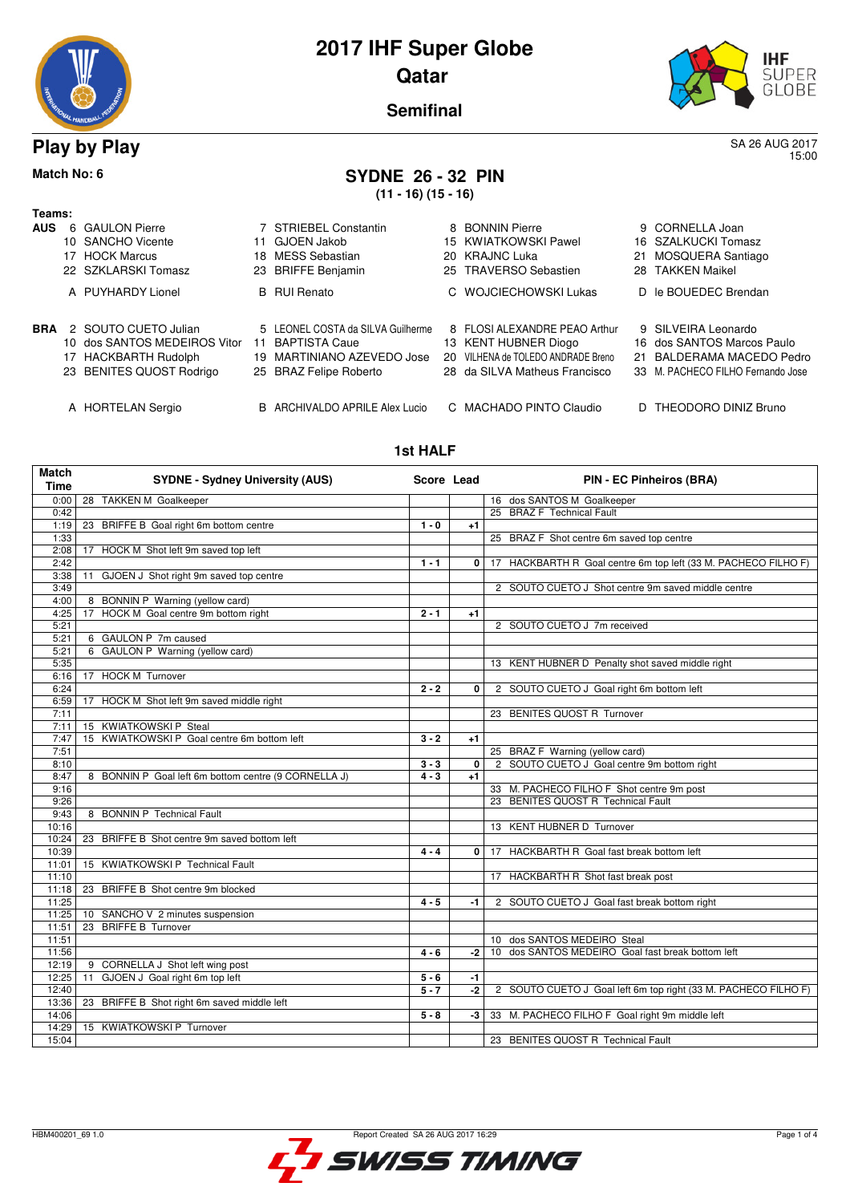



15:00

**Semifinal**

## **Play by Play** SA 26 AUG 2017

# **Match No: 6 SYDNE 26 - 32 PIN**

**(11 - 16) (15 - 16)**

| Teams:     |                              |    |                                   |                                    |                                   |
|------------|------------------------------|----|-----------------------------------|------------------------------------|-----------------------------------|
| <b>AUS</b> | 6 GAULON Pierre              |    | 7 STRIEBEL Constantin             | 8 BONNIN Pierre                    | 9 CORNELLA Joan                   |
|            | 10 SANCHO Vicente            |    | 11 GJOEN Jakob                    | 15 KWIATKOWSKI Pawel               | 16 SZALKUCKI Tomasz               |
|            | 17 HOCK Marcus               |    | 18 MESS Sebastian                 | 20 KRAJNC Luka                     | 21 MOSQUERA Santiago              |
|            | 22 SZKLARSKI Tomasz          |    | 23 BRIFFE Benjamin                | 25 TRAVERSO Sebastien              | 28 TAKKEN Maikel                  |
|            | A PUYHARDY Lionel            |    | <b>B</b> RUI Renato               | C WOJCIECHOWSKI Lukas              | D le BOUEDEC Brendan              |
| BRA        | 2 SOUTO CUETO Julian         |    | 5 LEONEL COSTA da SILVA Guilherme | 8 FLOSI ALEXANDRE PEAO Arthur      | 9 SILVEIRA Leonardo               |
|            | 10 dos SANTOS MEDEIROS Vitor | 11 | <b>BAPTISTA Caue</b>              | 13 KENT HUBNER Diogo               | 16 dos SANTOS Marcos Paulo        |
|            | 17 HACKBARTH Rudolph         |    | 19 MARTINIANO AZEVEDO Jose        | 20 VILHENA de TOLEDO ANDRADE Breno | 21 BALDERAMA MACEDO Pedro         |
|            | 23 BENITES QUOST Rodrigo     |    | 25 BRAZ Felipe Roberto            | 28 da SILVA Matheus Francisco      | 33 M. PACHECO FILHO Fernando Jose |
|            | A HORTELAN Sergio            |    | B ARCHIVALDO APRILE Alex Lucio    | C MACHADO PINTO Claudio            | D THEODORO DINIZ Bruno            |

#### **1st HALF**

| <b>Match</b><br><b>Time</b> | <b>SYDNE - Sydney University (AUS)</b>               | Score Lead |              | <b>PIN - EC Pinheiros (BRA)</b>                                |
|-----------------------------|------------------------------------------------------|------------|--------------|----------------------------------------------------------------|
| 0:00                        | 28 TAKKEN M Goalkeeper                               |            |              | 16 dos SANTOS M Goalkeeper                                     |
| 0:42                        |                                                      |            |              | 25 BRAZ F Technical Fault                                      |
| 1:19                        | 23 BRIFFE B Goal right 6m bottom centre              | $1 - 0$    | $+1$         |                                                                |
| 1:33                        |                                                      |            |              | 25 BRAZ F Shot centre 6m saved top centre                      |
| 2:08                        | HOCK M Shot left 9m saved top left<br>17             |            |              |                                                                |
| 2:42                        |                                                      | $1 - 1$    | $\mathbf{0}$ | 17 HACKBARTH R Goal centre 6m top left (33 M. PACHECO FILHO F) |
| 3:38                        | GJOEN J Shot right 9m saved top centre<br>11         |            |              |                                                                |
| 3:49                        |                                                      |            |              | 2 SOUTO CUETO J Shot centre 9m saved middle centre             |
| 4:00                        | 8 BONNIN P Warning (yellow card)                     |            |              |                                                                |
| 4:25                        | 17 HOCK M Goal centre 9m bottom right                | $2 - 1$    | $+1$         |                                                                |
| 5:21                        |                                                      |            |              | 2 SOUTO CUETO J 7m received                                    |
| 5:21                        | 6 GAULON P 7m caused                                 |            |              |                                                                |
| 5:21                        | 6 GAULON P Warning (yellow card)                     |            |              |                                                                |
| 5:35                        |                                                      |            |              | 13 KENT HUBNER D Penalty shot saved middle right               |
| 6:16                        | 17 HOCK M Turnover                                   |            |              |                                                                |
| 6:24                        |                                                      | $2 - 2$    | 0            | 2 SOUTO CUETO J Goal right 6m bottom left                      |
| 6:59                        | 17 HOCK M Shot left 9m saved middle right            |            |              |                                                                |
| 7:11                        |                                                      |            |              | 23 BENITES QUOST R Turnover                                    |
| 7:11                        | 15 KWIATKOWSKI P Steal                               |            |              |                                                                |
| 7:47                        | KWIATKOWSKI P Goal centre 6m bottom left<br>15       | $3 - 2$    | $+1$         |                                                                |
| 7:51                        |                                                      |            |              | 25 BRAZ F Warning (yellow card)                                |
| 8:10                        |                                                      | $3 - 3$    | $\Omega$     | 2 SOUTO CUETO J Goal centre 9m bottom right                    |
| 8:47                        | 8 BONNIN P Goal left 6m bottom centre (9 CORNELLA J) | $4 - 3$    | $+1$         |                                                                |
| 9:16                        |                                                      |            |              | 33 M. PACHECO FILHO F Shot centre 9m post                      |
| 9:26                        |                                                      |            |              | 23 BENITES QUOST R Technical Fault                             |
| 9:43<br>10:16               | 8 BONNIN P Technical Fault                           |            |              |                                                                |
|                             |                                                      |            |              | 13 KENT HUBNER D Turnover                                      |
| 10:24<br>10:39              | 23 BRIFFE B Shot centre 9m saved bottom left         | $4 - 4$    | $\Omega$     | 17 HACKBARTH R Goal fast break bottom left                     |
| 11:01                       | 15 KWIATKOWSKI P Technical Fault                     |            |              |                                                                |
| 11:10                       |                                                      |            |              | 17 HACKBARTH R Shot fast break post                            |
| 11:18                       | BRIFFE B Shot centre 9m blocked<br>23                |            |              |                                                                |
| 11:25                       |                                                      | $4 - 5$    | -1           | 2 SOUTO CUETO J Goal fast break bottom right                   |
| 11:25                       | SANCHO V 2 minutes suspension<br>10 <sup>1</sup>     |            |              |                                                                |
| 11:51                       | 23 BRIFFE B Turnover                                 |            |              |                                                                |
| 11:51                       |                                                      |            |              | 10 dos SANTOS MEDEIRO Steal                                    |
| 11:56                       |                                                      | $4 - 6$    | -2 l         | 10 dos SANTOS MEDEIRO Goal fast break bottom left              |
| 12:19                       | 9 CORNELLA J Shot left wing post                     |            |              |                                                                |
| 12:25                       | GJOEN J Goal right 6m top left<br>11                 | $5 - 6$    | $-1$         |                                                                |
| 12:40                       |                                                      | $5 - 7$    | $-2$         | 2 SOUTO CUETO J Goal left 6m top right (33 M. PACHECO FILHO F) |
| 13:36                       | 23 BRIFFE B Shot right 6m saved middle left          |            |              |                                                                |
| 14:06                       |                                                      | $5 - 8$    | $-3$         | 33 M. PACHECO FILHO F Goal right 9m middle left                |
| 14:29                       | 15 KWIATKOWSKI P Turnover                            |            |              |                                                                |
| 15:04                       |                                                      |            |              | 23 BENITES QUOST R Technical Fault                             |

SWISS TIMING

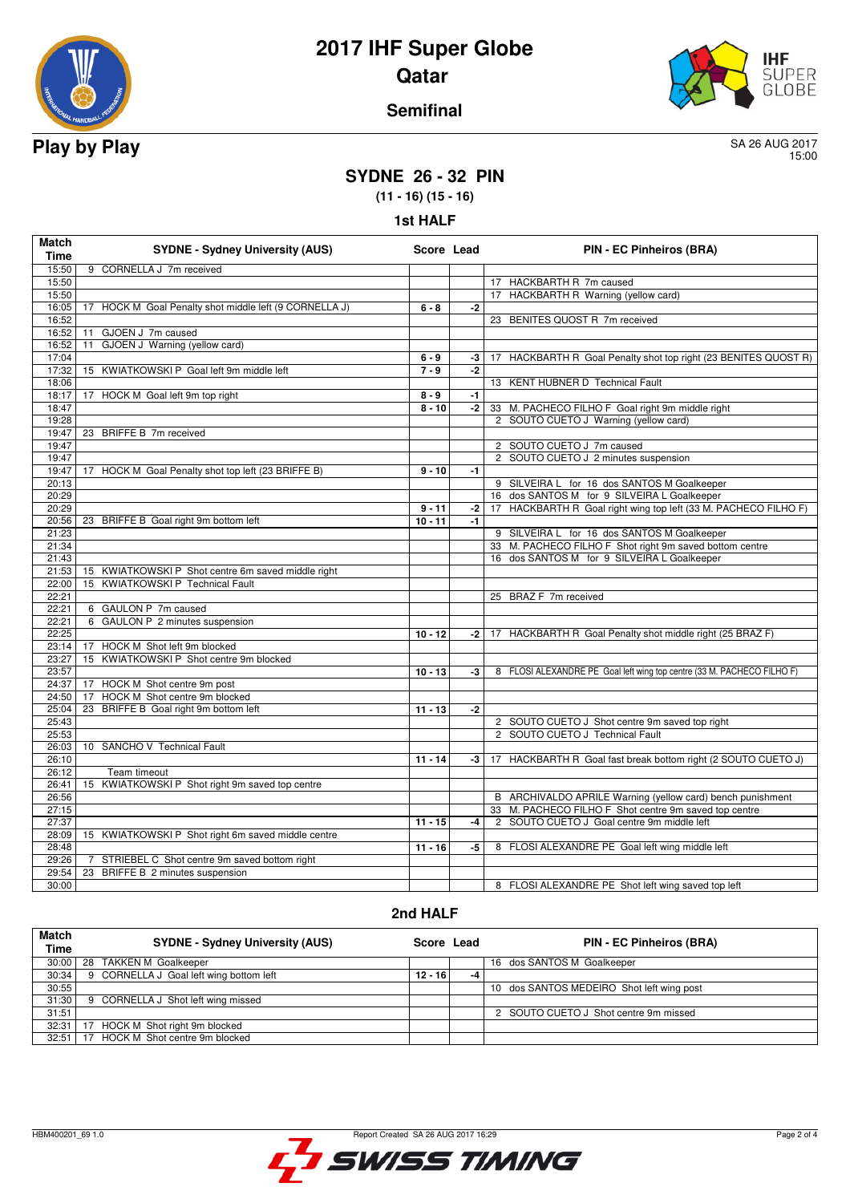



### **Semifinal**

15:00

## **SYDNE 26 - 32 PIN**

**(11 - 16) (15 - 16)**

**1st HALF**

| 9 CORNELLA J 7m received<br>15:50<br>15:50<br>17 HACKBARTH R 7m caused<br>15:50<br>17 HACKBARTH R Warning (yellow card)<br>$-2$<br>16:05<br>17 HOCK M Goal Penalty shot middle left (9 CORNELLA J)<br>$6 - 8$<br>16:52<br>23 BENITES QUOST R 7m received<br>16:52<br>GJOEN J 7m caused<br>11<br>16:52<br>GJOEN J Warning (yellow card)<br>11<br>17:04<br>17 HACKBARTH R Goal Penalty shot top right (23 BENITES QUOST R)<br>$6 - 9$<br>-3<br>17:32<br>$7 - 9$<br>15 KWIATKOWSKI P Goal left 9m middle left<br>$-2$<br>18:06<br>13 KENT HUBNER D Technical Fault<br>18:17<br>17 HOCK M Goal left 9m top right<br>$8 - 9$<br>-1<br>18:47<br>$8 - 10$<br>$-2$<br>33 M. PACHECO FILHO F Goal right 9m middle right<br>19:28<br>2 SOUTO CUETO J Warning (yellow card)<br>23 BRIFFE B 7m received<br>19:47<br>2 SOUTO CUETO J 7m caused<br>19:47<br>19:47<br>2 SOUTO CUETO J 2 minutes suspension<br>17 HOCK M Goal Penalty shot top left (23 BRIFFE B)<br>19:47<br>$9 - 10$<br>$-1$<br>9 SILVEIRA L for 16 dos SANTOS M Goalkeeper<br>20:13<br>20:29<br>16 dos SANTOS M for 9 SILVEIRA L Goalkeeper<br>20:29<br>17 HACKBARTH R Goal right wing top left (33 M. PACHECO FILHO F)<br>$9 - 11$<br>-2<br>20:56<br>23 BRIFFE B Goal right 9m bottom left<br>$10 - 11$<br>$-1$<br>21:23<br>9 SILVEIRA L for 16 dos SANTOS M Goalkeeper<br>21:34<br>33 M. PACHECO FILHO F Shot right 9m saved bottom centre<br>16 dos SANTOS M for 9 SILVEIRA L Goalkeeper<br>21:43<br>21:53<br>15 KWIATKOWSKI P Shot centre 6m saved middle right<br>15 KWIATKOWSKI P Technical Fault<br>22:00<br>22:21<br>25 BRAZ F 7m received<br>22:21<br>6 GAULON P 7m caused<br>6 GAULON P 2 minutes suspension<br>22:21<br>22:25<br>$10 - 12$<br>17 HACKBARTH R Goal Penalty shot middle right (25 BRAZ F)<br>$-2$<br>23:14<br>17 HOCK M Shot left 9m blocked<br>15 KWIATKOWSKI P Shot centre 9m blocked<br>23:27<br>23:57<br>$10 - 13$<br>8 FLOSI ALEXANDRE PE Goal left wing top centre (33 M. PACHECO FILHO F)<br>$-3$<br>24:37<br>17 HOCK M Shot centre 9m post<br>HOCK M Shot centre 9m blocked<br>24:50<br>17<br>23 BRIFFE B Goal right 9m bottom left<br>25:04<br>$11 - 13$<br>$-2$<br>25:43<br>2 SOUTO CUETO J Shot centre 9m saved top right<br>25:53<br>2 SOUTO CUETO J Technical Fault<br>10 SANCHO V Technical Fault<br>26:03<br>26:10<br>$11 - 14$<br>$-3$<br>17 HACKBARTH R Goal fast break bottom right (2 SOUTO CUETO J)<br>26:12<br>Team timeout<br>15 KWIATKOWSKI P Shot right 9m saved top centre<br>26:41<br>B ARCHIVALDO APRILE Warning (yellow card) bench punishment<br>26:56<br>33 M. PACHECO FILHO F Shot centre 9m saved top centre<br>27:15<br>27:37<br>2 SOUTO CUETO J Goal centre 9m middle left<br>$11 - 15$<br>$-4$<br>28:09<br>15 KWIATKOWSKI P Shot right 6m saved middle centre<br>28:48<br>$11 - 16$<br>-5<br>8 FLOSI ALEXANDRE PE Goal left wing middle left<br>29:26<br>STRIEBEL C Shot centre 9m saved bottom right<br>7<br>29:54<br>23 BRIFFE B 2 minutes suspension<br>30:00<br>8 FLOSI ALEXANDRE PE Shot left wing saved top left | <b>Match</b><br><b>Time</b> | <b>SYDNE - Sydney University (AUS)</b> | Score Lead | PIN - EC Pinheiros (BRA) |
|---------------------------------------------------------------------------------------------------------------------------------------------------------------------------------------------------------------------------------------------------------------------------------------------------------------------------------------------------------------------------------------------------------------------------------------------------------------------------------------------------------------------------------------------------------------------------------------------------------------------------------------------------------------------------------------------------------------------------------------------------------------------------------------------------------------------------------------------------------------------------------------------------------------------------------------------------------------------------------------------------------------------------------------------------------------------------------------------------------------------------------------------------------------------------------------------------------------------------------------------------------------------------------------------------------------------------------------------------------------------------------------------------------------------------------------------------------------------------------------------------------------------------------------------------------------------------------------------------------------------------------------------------------------------------------------------------------------------------------------------------------------------------------------------------------------------------------------------------------------------------------------------------------------------------------------------------------------------------------------------------------------------------------------------------------------------------------------------------------------------------------------------------------------------------------------------------------------------------------------------------------------------------------------------------------------------------------------------------------------------------------------------------------------------------------------------------------------------------------------------------------------------------------------------------------------------------------------------------------------------------------------------------------------------------------------------------------------------------------------------------------------------------------------------------------------------------------------------------------------------------------------------------------------------------------------------------------------------------------------------------------------------------------------|-----------------------------|----------------------------------------|------------|--------------------------|
|                                                                                                                                                                                                                                                                                                                                                                                                                                                                                                                                                                                                                                                                                                                                                                                                                                                                                                                                                                                                                                                                                                                                                                                                                                                                                                                                                                                                                                                                                                                                                                                                                                                                                                                                                                                                                                                                                                                                                                                                                                                                                                                                                                                                                                                                                                                                                                                                                                                                                                                                                                                                                                                                                                                                                                                                                                                                                                                                                                                                                                       |                             |                                        |            |                          |
|                                                                                                                                                                                                                                                                                                                                                                                                                                                                                                                                                                                                                                                                                                                                                                                                                                                                                                                                                                                                                                                                                                                                                                                                                                                                                                                                                                                                                                                                                                                                                                                                                                                                                                                                                                                                                                                                                                                                                                                                                                                                                                                                                                                                                                                                                                                                                                                                                                                                                                                                                                                                                                                                                                                                                                                                                                                                                                                                                                                                                                       |                             |                                        |            |                          |
|                                                                                                                                                                                                                                                                                                                                                                                                                                                                                                                                                                                                                                                                                                                                                                                                                                                                                                                                                                                                                                                                                                                                                                                                                                                                                                                                                                                                                                                                                                                                                                                                                                                                                                                                                                                                                                                                                                                                                                                                                                                                                                                                                                                                                                                                                                                                                                                                                                                                                                                                                                                                                                                                                                                                                                                                                                                                                                                                                                                                                                       |                             |                                        |            |                          |
|                                                                                                                                                                                                                                                                                                                                                                                                                                                                                                                                                                                                                                                                                                                                                                                                                                                                                                                                                                                                                                                                                                                                                                                                                                                                                                                                                                                                                                                                                                                                                                                                                                                                                                                                                                                                                                                                                                                                                                                                                                                                                                                                                                                                                                                                                                                                                                                                                                                                                                                                                                                                                                                                                                                                                                                                                                                                                                                                                                                                                                       |                             |                                        |            |                          |
|                                                                                                                                                                                                                                                                                                                                                                                                                                                                                                                                                                                                                                                                                                                                                                                                                                                                                                                                                                                                                                                                                                                                                                                                                                                                                                                                                                                                                                                                                                                                                                                                                                                                                                                                                                                                                                                                                                                                                                                                                                                                                                                                                                                                                                                                                                                                                                                                                                                                                                                                                                                                                                                                                                                                                                                                                                                                                                                                                                                                                                       |                             |                                        |            |                          |
|                                                                                                                                                                                                                                                                                                                                                                                                                                                                                                                                                                                                                                                                                                                                                                                                                                                                                                                                                                                                                                                                                                                                                                                                                                                                                                                                                                                                                                                                                                                                                                                                                                                                                                                                                                                                                                                                                                                                                                                                                                                                                                                                                                                                                                                                                                                                                                                                                                                                                                                                                                                                                                                                                                                                                                                                                                                                                                                                                                                                                                       |                             |                                        |            |                          |
|                                                                                                                                                                                                                                                                                                                                                                                                                                                                                                                                                                                                                                                                                                                                                                                                                                                                                                                                                                                                                                                                                                                                                                                                                                                                                                                                                                                                                                                                                                                                                                                                                                                                                                                                                                                                                                                                                                                                                                                                                                                                                                                                                                                                                                                                                                                                                                                                                                                                                                                                                                                                                                                                                                                                                                                                                                                                                                                                                                                                                                       |                             |                                        |            |                          |
|                                                                                                                                                                                                                                                                                                                                                                                                                                                                                                                                                                                                                                                                                                                                                                                                                                                                                                                                                                                                                                                                                                                                                                                                                                                                                                                                                                                                                                                                                                                                                                                                                                                                                                                                                                                                                                                                                                                                                                                                                                                                                                                                                                                                                                                                                                                                                                                                                                                                                                                                                                                                                                                                                                                                                                                                                                                                                                                                                                                                                                       |                             |                                        |            |                          |
|                                                                                                                                                                                                                                                                                                                                                                                                                                                                                                                                                                                                                                                                                                                                                                                                                                                                                                                                                                                                                                                                                                                                                                                                                                                                                                                                                                                                                                                                                                                                                                                                                                                                                                                                                                                                                                                                                                                                                                                                                                                                                                                                                                                                                                                                                                                                                                                                                                                                                                                                                                                                                                                                                                                                                                                                                                                                                                                                                                                                                                       |                             |                                        |            |                          |
|                                                                                                                                                                                                                                                                                                                                                                                                                                                                                                                                                                                                                                                                                                                                                                                                                                                                                                                                                                                                                                                                                                                                                                                                                                                                                                                                                                                                                                                                                                                                                                                                                                                                                                                                                                                                                                                                                                                                                                                                                                                                                                                                                                                                                                                                                                                                                                                                                                                                                                                                                                                                                                                                                                                                                                                                                                                                                                                                                                                                                                       |                             |                                        |            |                          |
|                                                                                                                                                                                                                                                                                                                                                                                                                                                                                                                                                                                                                                                                                                                                                                                                                                                                                                                                                                                                                                                                                                                                                                                                                                                                                                                                                                                                                                                                                                                                                                                                                                                                                                                                                                                                                                                                                                                                                                                                                                                                                                                                                                                                                                                                                                                                                                                                                                                                                                                                                                                                                                                                                                                                                                                                                                                                                                                                                                                                                                       |                             |                                        |            |                          |
|                                                                                                                                                                                                                                                                                                                                                                                                                                                                                                                                                                                                                                                                                                                                                                                                                                                                                                                                                                                                                                                                                                                                                                                                                                                                                                                                                                                                                                                                                                                                                                                                                                                                                                                                                                                                                                                                                                                                                                                                                                                                                                                                                                                                                                                                                                                                                                                                                                                                                                                                                                                                                                                                                                                                                                                                                                                                                                                                                                                                                                       |                             |                                        |            |                          |
|                                                                                                                                                                                                                                                                                                                                                                                                                                                                                                                                                                                                                                                                                                                                                                                                                                                                                                                                                                                                                                                                                                                                                                                                                                                                                                                                                                                                                                                                                                                                                                                                                                                                                                                                                                                                                                                                                                                                                                                                                                                                                                                                                                                                                                                                                                                                                                                                                                                                                                                                                                                                                                                                                                                                                                                                                                                                                                                                                                                                                                       |                             |                                        |            |                          |
|                                                                                                                                                                                                                                                                                                                                                                                                                                                                                                                                                                                                                                                                                                                                                                                                                                                                                                                                                                                                                                                                                                                                                                                                                                                                                                                                                                                                                                                                                                                                                                                                                                                                                                                                                                                                                                                                                                                                                                                                                                                                                                                                                                                                                                                                                                                                                                                                                                                                                                                                                                                                                                                                                                                                                                                                                                                                                                                                                                                                                                       |                             |                                        |            |                          |
|                                                                                                                                                                                                                                                                                                                                                                                                                                                                                                                                                                                                                                                                                                                                                                                                                                                                                                                                                                                                                                                                                                                                                                                                                                                                                                                                                                                                                                                                                                                                                                                                                                                                                                                                                                                                                                                                                                                                                                                                                                                                                                                                                                                                                                                                                                                                                                                                                                                                                                                                                                                                                                                                                                                                                                                                                                                                                                                                                                                                                                       |                             |                                        |            |                          |
|                                                                                                                                                                                                                                                                                                                                                                                                                                                                                                                                                                                                                                                                                                                                                                                                                                                                                                                                                                                                                                                                                                                                                                                                                                                                                                                                                                                                                                                                                                                                                                                                                                                                                                                                                                                                                                                                                                                                                                                                                                                                                                                                                                                                                                                                                                                                                                                                                                                                                                                                                                                                                                                                                                                                                                                                                                                                                                                                                                                                                                       |                             |                                        |            |                          |
|                                                                                                                                                                                                                                                                                                                                                                                                                                                                                                                                                                                                                                                                                                                                                                                                                                                                                                                                                                                                                                                                                                                                                                                                                                                                                                                                                                                                                                                                                                                                                                                                                                                                                                                                                                                                                                                                                                                                                                                                                                                                                                                                                                                                                                                                                                                                                                                                                                                                                                                                                                                                                                                                                                                                                                                                                                                                                                                                                                                                                                       |                             |                                        |            |                          |
|                                                                                                                                                                                                                                                                                                                                                                                                                                                                                                                                                                                                                                                                                                                                                                                                                                                                                                                                                                                                                                                                                                                                                                                                                                                                                                                                                                                                                                                                                                                                                                                                                                                                                                                                                                                                                                                                                                                                                                                                                                                                                                                                                                                                                                                                                                                                                                                                                                                                                                                                                                                                                                                                                                                                                                                                                                                                                                                                                                                                                                       |                             |                                        |            |                          |
|                                                                                                                                                                                                                                                                                                                                                                                                                                                                                                                                                                                                                                                                                                                                                                                                                                                                                                                                                                                                                                                                                                                                                                                                                                                                                                                                                                                                                                                                                                                                                                                                                                                                                                                                                                                                                                                                                                                                                                                                                                                                                                                                                                                                                                                                                                                                                                                                                                                                                                                                                                                                                                                                                                                                                                                                                                                                                                                                                                                                                                       |                             |                                        |            |                          |
|                                                                                                                                                                                                                                                                                                                                                                                                                                                                                                                                                                                                                                                                                                                                                                                                                                                                                                                                                                                                                                                                                                                                                                                                                                                                                                                                                                                                                                                                                                                                                                                                                                                                                                                                                                                                                                                                                                                                                                                                                                                                                                                                                                                                                                                                                                                                                                                                                                                                                                                                                                                                                                                                                                                                                                                                                                                                                                                                                                                                                                       |                             |                                        |            |                          |
|                                                                                                                                                                                                                                                                                                                                                                                                                                                                                                                                                                                                                                                                                                                                                                                                                                                                                                                                                                                                                                                                                                                                                                                                                                                                                                                                                                                                                                                                                                                                                                                                                                                                                                                                                                                                                                                                                                                                                                                                                                                                                                                                                                                                                                                                                                                                                                                                                                                                                                                                                                                                                                                                                                                                                                                                                                                                                                                                                                                                                                       |                             |                                        |            |                          |
|                                                                                                                                                                                                                                                                                                                                                                                                                                                                                                                                                                                                                                                                                                                                                                                                                                                                                                                                                                                                                                                                                                                                                                                                                                                                                                                                                                                                                                                                                                                                                                                                                                                                                                                                                                                                                                                                                                                                                                                                                                                                                                                                                                                                                                                                                                                                                                                                                                                                                                                                                                                                                                                                                                                                                                                                                                                                                                                                                                                                                                       |                             |                                        |            |                          |
|                                                                                                                                                                                                                                                                                                                                                                                                                                                                                                                                                                                                                                                                                                                                                                                                                                                                                                                                                                                                                                                                                                                                                                                                                                                                                                                                                                                                                                                                                                                                                                                                                                                                                                                                                                                                                                                                                                                                                                                                                                                                                                                                                                                                                                                                                                                                                                                                                                                                                                                                                                                                                                                                                                                                                                                                                                                                                                                                                                                                                                       |                             |                                        |            |                          |
|                                                                                                                                                                                                                                                                                                                                                                                                                                                                                                                                                                                                                                                                                                                                                                                                                                                                                                                                                                                                                                                                                                                                                                                                                                                                                                                                                                                                                                                                                                                                                                                                                                                                                                                                                                                                                                                                                                                                                                                                                                                                                                                                                                                                                                                                                                                                                                                                                                                                                                                                                                                                                                                                                                                                                                                                                                                                                                                                                                                                                                       |                             |                                        |            |                          |
|                                                                                                                                                                                                                                                                                                                                                                                                                                                                                                                                                                                                                                                                                                                                                                                                                                                                                                                                                                                                                                                                                                                                                                                                                                                                                                                                                                                                                                                                                                                                                                                                                                                                                                                                                                                                                                                                                                                                                                                                                                                                                                                                                                                                                                                                                                                                                                                                                                                                                                                                                                                                                                                                                                                                                                                                                                                                                                                                                                                                                                       |                             |                                        |            |                          |
|                                                                                                                                                                                                                                                                                                                                                                                                                                                                                                                                                                                                                                                                                                                                                                                                                                                                                                                                                                                                                                                                                                                                                                                                                                                                                                                                                                                                                                                                                                                                                                                                                                                                                                                                                                                                                                                                                                                                                                                                                                                                                                                                                                                                                                                                                                                                                                                                                                                                                                                                                                                                                                                                                                                                                                                                                                                                                                                                                                                                                                       |                             |                                        |            |                          |
|                                                                                                                                                                                                                                                                                                                                                                                                                                                                                                                                                                                                                                                                                                                                                                                                                                                                                                                                                                                                                                                                                                                                                                                                                                                                                                                                                                                                                                                                                                                                                                                                                                                                                                                                                                                                                                                                                                                                                                                                                                                                                                                                                                                                                                                                                                                                                                                                                                                                                                                                                                                                                                                                                                                                                                                                                                                                                                                                                                                                                                       |                             |                                        |            |                          |
|                                                                                                                                                                                                                                                                                                                                                                                                                                                                                                                                                                                                                                                                                                                                                                                                                                                                                                                                                                                                                                                                                                                                                                                                                                                                                                                                                                                                                                                                                                                                                                                                                                                                                                                                                                                                                                                                                                                                                                                                                                                                                                                                                                                                                                                                                                                                                                                                                                                                                                                                                                                                                                                                                                                                                                                                                                                                                                                                                                                                                                       |                             |                                        |            |                          |
|                                                                                                                                                                                                                                                                                                                                                                                                                                                                                                                                                                                                                                                                                                                                                                                                                                                                                                                                                                                                                                                                                                                                                                                                                                                                                                                                                                                                                                                                                                                                                                                                                                                                                                                                                                                                                                                                                                                                                                                                                                                                                                                                                                                                                                                                                                                                                                                                                                                                                                                                                                                                                                                                                                                                                                                                                                                                                                                                                                                                                                       |                             |                                        |            |                          |
|                                                                                                                                                                                                                                                                                                                                                                                                                                                                                                                                                                                                                                                                                                                                                                                                                                                                                                                                                                                                                                                                                                                                                                                                                                                                                                                                                                                                                                                                                                                                                                                                                                                                                                                                                                                                                                                                                                                                                                                                                                                                                                                                                                                                                                                                                                                                                                                                                                                                                                                                                                                                                                                                                                                                                                                                                                                                                                                                                                                                                                       |                             |                                        |            |                          |
|                                                                                                                                                                                                                                                                                                                                                                                                                                                                                                                                                                                                                                                                                                                                                                                                                                                                                                                                                                                                                                                                                                                                                                                                                                                                                                                                                                                                                                                                                                                                                                                                                                                                                                                                                                                                                                                                                                                                                                                                                                                                                                                                                                                                                                                                                                                                                                                                                                                                                                                                                                                                                                                                                                                                                                                                                                                                                                                                                                                                                                       |                             |                                        |            |                          |
|                                                                                                                                                                                                                                                                                                                                                                                                                                                                                                                                                                                                                                                                                                                                                                                                                                                                                                                                                                                                                                                                                                                                                                                                                                                                                                                                                                                                                                                                                                                                                                                                                                                                                                                                                                                                                                                                                                                                                                                                                                                                                                                                                                                                                                                                                                                                                                                                                                                                                                                                                                                                                                                                                                                                                                                                                                                                                                                                                                                                                                       |                             |                                        |            |                          |
|                                                                                                                                                                                                                                                                                                                                                                                                                                                                                                                                                                                                                                                                                                                                                                                                                                                                                                                                                                                                                                                                                                                                                                                                                                                                                                                                                                                                                                                                                                                                                                                                                                                                                                                                                                                                                                                                                                                                                                                                                                                                                                                                                                                                                                                                                                                                                                                                                                                                                                                                                                                                                                                                                                                                                                                                                                                                                                                                                                                                                                       |                             |                                        |            |                          |
|                                                                                                                                                                                                                                                                                                                                                                                                                                                                                                                                                                                                                                                                                                                                                                                                                                                                                                                                                                                                                                                                                                                                                                                                                                                                                                                                                                                                                                                                                                                                                                                                                                                                                                                                                                                                                                                                                                                                                                                                                                                                                                                                                                                                                                                                                                                                                                                                                                                                                                                                                                                                                                                                                                                                                                                                                                                                                                                                                                                                                                       |                             |                                        |            |                          |
|                                                                                                                                                                                                                                                                                                                                                                                                                                                                                                                                                                                                                                                                                                                                                                                                                                                                                                                                                                                                                                                                                                                                                                                                                                                                                                                                                                                                                                                                                                                                                                                                                                                                                                                                                                                                                                                                                                                                                                                                                                                                                                                                                                                                                                                                                                                                                                                                                                                                                                                                                                                                                                                                                                                                                                                                                                                                                                                                                                                                                                       |                             |                                        |            |                          |
|                                                                                                                                                                                                                                                                                                                                                                                                                                                                                                                                                                                                                                                                                                                                                                                                                                                                                                                                                                                                                                                                                                                                                                                                                                                                                                                                                                                                                                                                                                                                                                                                                                                                                                                                                                                                                                                                                                                                                                                                                                                                                                                                                                                                                                                                                                                                                                                                                                                                                                                                                                                                                                                                                                                                                                                                                                                                                                                                                                                                                                       |                             |                                        |            |                          |
|                                                                                                                                                                                                                                                                                                                                                                                                                                                                                                                                                                                                                                                                                                                                                                                                                                                                                                                                                                                                                                                                                                                                                                                                                                                                                                                                                                                                                                                                                                                                                                                                                                                                                                                                                                                                                                                                                                                                                                                                                                                                                                                                                                                                                                                                                                                                                                                                                                                                                                                                                                                                                                                                                                                                                                                                                                                                                                                                                                                                                                       |                             |                                        |            |                          |
|                                                                                                                                                                                                                                                                                                                                                                                                                                                                                                                                                                                                                                                                                                                                                                                                                                                                                                                                                                                                                                                                                                                                                                                                                                                                                                                                                                                                                                                                                                                                                                                                                                                                                                                                                                                                                                                                                                                                                                                                                                                                                                                                                                                                                                                                                                                                                                                                                                                                                                                                                                                                                                                                                                                                                                                                                                                                                                                                                                                                                                       |                             |                                        |            |                          |
|                                                                                                                                                                                                                                                                                                                                                                                                                                                                                                                                                                                                                                                                                                                                                                                                                                                                                                                                                                                                                                                                                                                                                                                                                                                                                                                                                                                                                                                                                                                                                                                                                                                                                                                                                                                                                                                                                                                                                                                                                                                                                                                                                                                                                                                                                                                                                                                                                                                                                                                                                                                                                                                                                                                                                                                                                                                                                                                                                                                                                                       |                             |                                        |            |                          |
|                                                                                                                                                                                                                                                                                                                                                                                                                                                                                                                                                                                                                                                                                                                                                                                                                                                                                                                                                                                                                                                                                                                                                                                                                                                                                                                                                                                                                                                                                                                                                                                                                                                                                                                                                                                                                                                                                                                                                                                                                                                                                                                                                                                                                                                                                                                                                                                                                                                                                                                                                                                                                                                                                                                                                                                                                                                                                                                                                                                                                                       |                             |                                        |            |                          |
|                                                                                                                                                                                                                                                                                                                                                                                                                                                                                                                                                                                                                                                                                                                                                                                                                                                                                                                                                                                                                                                                                                                                                                                                                                                                                                                                                                                                                                                                                                                                                                                                                                                                                                                                                                                                                                                                                                                                                                                                                                                                                                                                                                                                                                                                                                                                                                                                                                                                                                                                                                                                                                                                                                                                                                                                                                                                                                                                                                                                                                       |                             |                                        |            |                          |
|                                                                                                                                                                                                                                                                                                                                                                                                                                                                                                                                                                                                                                                                                                                                                                                                                                                                                                                                                                                                                                                                                                                                                                                                                                                                                                                                                                                                                                                                                                                                                                                                                                                                                                                                                                                                                                                                                                                                                                                                                                                                                                                                                                                                                                                                                                                                                                                                                                                                                                                                                                                                                                                                                                                                                                                                                                                                                                                                                                                                                                       |                             |                                        |            |                          |
|                                                                                                                                                                                                                                                                                                                                                                                                                                                                                                                                                                                                                                                                                                                                                                                                                                                                                                                                                                                                                                                                                                                                                                                                                                                                                                                                                                                                                                                                                                                                                                                                                                                                                                                                                                                                                                                                                                                                                                                                                                                                                                                                                                                                                                                                                                                                                                                                                                                                                                                                                                                                                                                                                                                                                                                                                                                                                                                                                                                                                                       |                             |                                        |            |                          |
|                                                                                                                                                                                                                                                                                                                                                                                                                                                                                                                                                                                                                                                                                                                                                                                                                                                                                                                                                                                                                                                                                                                                                                                                                                                                                                                                                                                                                                                                                                                                                                                                                                                                                                                                                                                                                                                                                                                                                                                                                                                                                                                                                                                                                                                                                                                                                                                                                                                                                                                                                                                                                                                                                                                                                                                                                                                                                                                                                                                                                                       |                             |                                        |            |                          |
|                                                                                                                                                                                                                                                                                                                                                                                                                                                                                                                                                                                                                                                                                                                                                                                                                                                                                                                                                                                                                                                                                                                                                                                                                                                                                                                                                                                                                                                                                                                                                                                                                                                                                                                                                                                                                                                                                                                                                                                                                                                                                                                                                                                                                                                                                                                                                                                                                                                                                                                                                                                                                                                                                                                                                                                                                                                                                                                                                                                                                                       |                             |                                        |            |                          |
|                                                                                                                                                                                                                                                                                                                                                                                                                                                                                                                                                                                                                                                                                                                                                                                                                                                                                                                                                                                                                                                                                                                                                                                                                                                                                                                                                                                                                                                                                                                                                                                                                                                                                                                                                                                                                                                                                                                                                                                                                                                                                                                                                                                                                                                                                                                                                                                                                                                                                                                                                                                                                                                                                                                                                                                                                                                                                                                                                                                                                                       |                             |                                        |            |                          |
|                                                                                                                                                                                                                                                                                                                                                                                                                                                                                                                                                                                                                                                                                                                                                                                                                                                                                                                                                                                                                                                                                                                                                                                                                                                                                                                                                                                                                                                                                                                                                                                                                                                                                                                                                                                                                                                                                                                                                                                                                                                                                                                                                                                                                                                                                                                                                                                                                                                                                                                                                                                                                                                                                                                                                                                                                                                                                                                                                                                                                                       |                             |                                        |            |                          |
|                                                                                                                                                                                                                                                                                                                                                                                                                                                                                                                                                                                                                                                                                                                                                                                                                                                                                                                                                                                                                                                                                                                                                                                                                                                                                                                                                                                                                                                                                                                                                                                                                                                                                                                                                                                                                                                                                                                                                                                                                                                                                                                                                                                                                                                                                                                                                                                                                                                                                                                                                                                                                                                                                                                                                                                                                                                                                                                                                                                                                                       |                             |                                        |            |                          |
|                                                                                                                                                                                                                                                                                                                                                                                                                                                                                                                                                                                                                                                                                                                                                                                                                                                                                                                                                                                                                                                                                                                                                                                                                                                                                                                                                                                                                                                                                                                                                                                                                                                                                                                                                                                                                                                                                                                                                                                                                                                                                                                                                                                                                                                                                                                                                                                                                                                                                                                                                                                                                                                                                                                                                                                                                                                                                                                                                                                                                                       |                             |                                        |            |                          |
|                                                                                                                                                                                                                                                                                                                                                                                                                                                                                                                                                                                                                                                                                                                                                                                                                                                                                                                                                                                                                                                                                                                                                                                                                                                                                                                                                                                                                                                                                                                                                                                                                                                                                                                                                                                                                                                                                                                                                                                                                                                                                                                                                                                                                                                                                                                                                                                                                                                                                                                                                                                                                                                                                                                                                                                                                                                                                                                                                                                                                                       |                             |                                        |            |                          |

#### **2nd HALF**

| <b>Match</b><br>Time | <b>SYDNE - Sydney University (AUS)</b>  | Score Lead |    | <b>PIN - EC Pinheiros (BRA)</b>           |
|----------------------|-----------------------------------------|------------|----|-------------------------------------------|
| 30:00                | <b>TAKKEN M Goalkeeper</b><br>28        |            |    | 16 dos SANTOS M Goalkeeper                |
| 30:34                | 9 CORNELLA J Goal left wing bottom left | $12 - 16$  | -4 |                                           |
| 30:55                |                                         |            |    | 10 dos SANTOS MEDEIRO Shot left wing post |
| 31:30                | 9 CORNELLA J Shot left wing missed      |            |    |                                           |
| 31:51                |                                         |            |    | 2 SOUTO CUETO J Shot centre 9m missed     |
| 32:31                | HOCK M Shot right 9m blocked            |            |    |                                           |
| 32:51                | HOCK M Shot centre 9m blocked           |            |    |                                           |

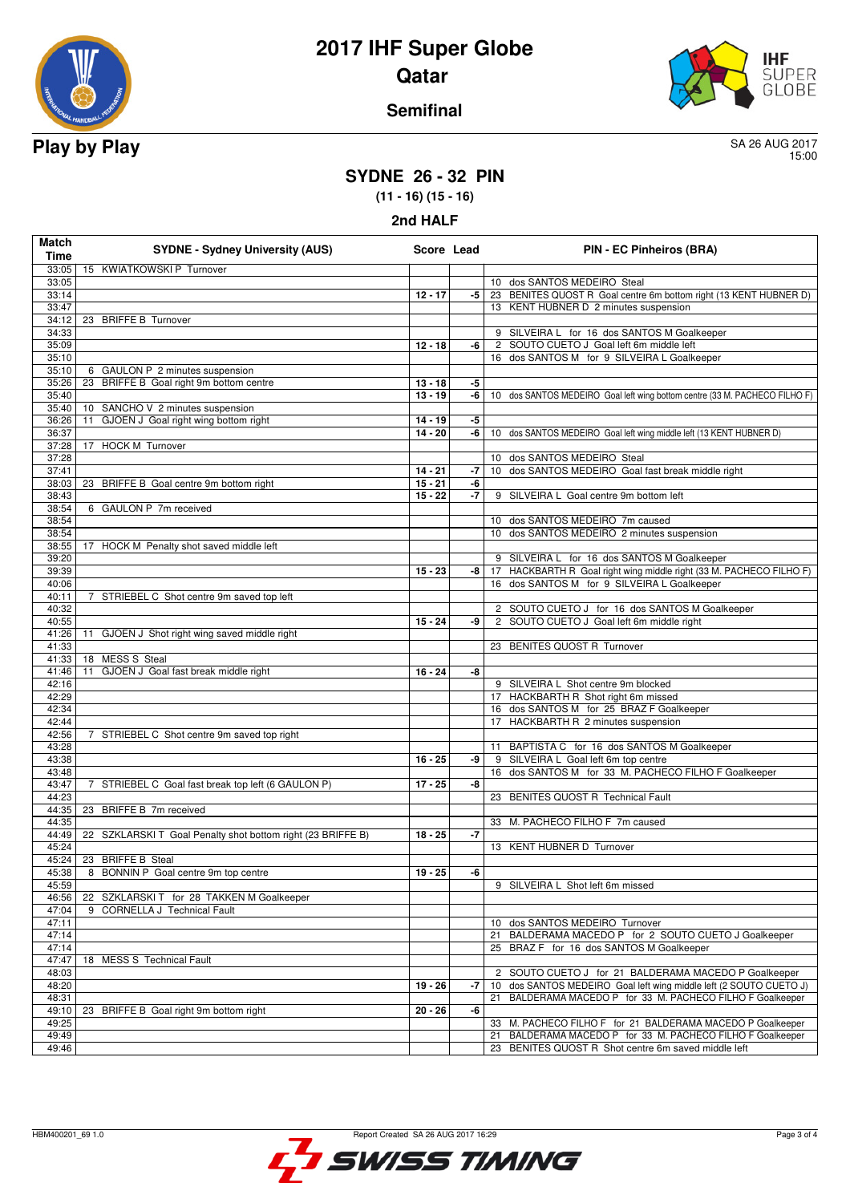



### **Semifinal**

15:00

## **SYDNE 26 - 32 PIN**

**(11 - 16) (15 - 16)**

**2nd HALF**

| <b>Match</b><br><b>Time</b> | <b>SYDNE - Sydney University (AUS)</b>                      | Score Lead |      | <b>PIN - EC Pinheiros (BRA)</b>                                                           |
|-----------------------------|-------------------------------------------------------------|------------|------|-------------------------------------------------------------------------------------------|
| 33:05                       | 15 KWIATKOWSKI P Turnover                                   |            |      |                                                                                           |
| 33:05                       |                                                             |            |      | 10 dos SANTOS MEDEIRO Steal                                                               |
| 33:14                       |                                                             | $12 - 17$  | -5   | 23 BENITES QUOST R Goal centre 6m bottom right (13 KENT HUBNER D)                         |
| 33:47                       |                                                             |            |      | 13 KENT HUBNER D 2 minutes suspension                                                     |
| 34:12<br>34:33              | 23 BRIFFE B Turnover                                        |            |      | 9 SILVEIRA L for 16 dos SANTOS M Goalkeeper                                               |
| 35:09                       |                                                             | $12 - 18$  | -6   | 2 SOUTO CUETO J Goal left 6m middle left                                                  |
| 35:10                       |                                                             |            |      | 16 dos SANTOS M for 9 SILVEIRA L Goalkeeper                                               |
| 35:10                       | 6 GAULON P 2 minutes suspension                             |            |      |                                                                                           |
| 35:26                       | 23 BRIFFE B Goal right 9m bottom centre                     | $13 - 18$  | -5   |                                                                                           |
| 35:40                       |                                                             | $13 - 19$  | -6   | 10 dos SANTOS MEDEIRO Goal left wing bottom centre (33 M. PACHECO FILHO F)                |
| 35:40                       | 10 SANCHO V 2 minutes suspension                            |            |      |                                                                                           |
| 36:26                       | GJOEN J Goal right wing bottom right<br>11                  | $14 - 19$  | -5   |                                                                                           |
| 36:37                       |                                                             | $14 - 20$  | -6   | 10 dos SANTOS MEDEIRO Goal left wing middle left (13 KENT HUBNER D)                       |
| 37:28                       | 17 HOCK M Turnover                                          |            |      |                                                                                           |
| 37:28                       |                                                             |            |      | 10 dos SANTOS MEDEIRO Steal                                                               |
| 37:41                       |                                                             | $14 - 21$  | -7   | 10 dos SANTOS MEDEIRO Goal fast break middle right                                        |
| 38:03                       | 23 BRIFFE B Goal centre 9m bottom right                     | $15 - 21$  | -6   |                                                                                           |
| 38:43<br>38:54              | 6 GAULON P 7m received                                      | $15 - 22$  | $-7$ | 9 SILVEIRA L Goal centre 9m bottom left                                                   |
| 38:54                       |                                                             |            |      | 10 dos SANTOS MEDEIRO 7m caused                                                           |
| 38:54                       |                                                             |            |      | 10 dos SANTOS MEDEIRO 2 minutes suspension                                                |
| 38:55                       | 17 HOCK M Penalty shot saved middle left                    |            |      |                                                                                           |
| 39:20                       |                                                             |            |      | 9 SILVEIRA L for 16 dos SANTOS M Goalkeeper                                               |
| 39:39                       |                                                             | $15 - 23$  | -8   | 17 HACKBARTH R Goal right wing middle right (33 M. PACHECO FILHO F)                       |
| 40:06                       |                                                             |            |      | 16 dos SANTOS M for 9 SILVEIRA L Goalkeeper                                               |
| 40:11                       | 7 STRIEBEL C Shot centre 9m saved top left                  |            |      |                                                                                           |
| 40:32                       |                                                             |            |      | 2 SOUTO CUETO J for 16 dos SANTOS M Goalkeeper                                            |
| 40:55                       |                                                             | $15 - 24$  | -9   | 2 SOUTO CUETO J Goal left 6m middle right                                                 |
| 41:26                       | GJOEN J Shot right wing saved middle right<br>11            |            |      |                                                                                           |
| 41:33                       |                                                             |            |      | 23 BENITES QUOST R Turnover                                                               |
| 41:33                       | 18 MESS S Steal                                             |            |      |                                                                                           |
| 41:46                       | 11<br>GJOEN J Goal fast break middle right                  | $16 - 24$  | -8   |                                                                                           |
| 42:16                       |                                                             |            |      | 9 SILVEIRA L Shot centre 9m blocked                                                       |
| 42:29                       |                                                             |            |      | 17 HACKBARTH R Shot right 6m missed<br>16 dos SANTOS M for 25 BRAZ F Goalkeeper           |
| 42:34<br>42:44              |                                                             |            |      | 17 HACKBARTH R 2 minutes suspension                                                       |
| 42:56                       | 7 STRIEBEL C Shot centre 9m saved top right                 |            |      |                                                                                           |
| 43:28                       |                                                             |            |      | 11 BAPTISTA C for 16 dos SANTOS M Goalkeeper                                              |
| 43:38                       |                                                             | $16 - 25$  | -9   | 9 SILVEIRA L Goal left 6m top centre                                                      |
| 43:48                       |                                                             |            |      | 16 dos SANTOS M for 33 M. PACHECO FILHO F Goalkeeper                                      |
| 43:47                       | 7 STRIEBEL C Goal fast break top left (6 GAULON P)          | $17 - 25$  | -8   |                                                                                           |
| 44:23                       |                                                             |            |      | 23 BENITES QUOST R Technical Fault                                                        |
| 44:35                       | 23 BRIFFE B 7m received                                     |            |      |                                                                                           |
| 44:35                       |                                                             |            |      | 33 M. PACHECO FILHO F 7m caused                                                           |
| 44:49                       | 22 SZKLARSKI T Goal Penalty shot bottom right (23 BRIFFE B) | $18 - 25$  | $-7$ |                                                                                           |
| 45:24                       |                                                             |            |      | 13 KENT HUBNER D Turnover                                                                 |
| 45:24                       | 23 BRIFFE B Steal                                           |            |      |                                                                                           |
| 45:38                       | 8 BONNIN P Goal centre 9m top centre                        | $19 - 25$  | -6   |                                                                                           |
| 45:59                       |                                                             |            |      | 9 SILVEIRA L Shot left 6m missed                                                          |
| 46:56                       | 22 SZKLARSKIT for 28 TAKKEN M Goalkeeper                    |            |      |                                                                                           |
| 47:04                       | 9 CORNELLA J Technical Fault                                |            |      |                                                                                           |
| 47:11<br>47:14              |                                                             |            |      | 10 dos SANTOS MEDEIRO Turnover<br>BALDERAMA MACEDO P for 2 SOUTO CUETO J Goalkeeper<br>21 |
| 47:14                       |                                                             |            |      | 25 BRAZ F for 16 dos SANTOS M Goalkeeper                                                  |
| 47:47                       | 18 MESS S Technical Fault                                   |            |      |                                                                                           |
| 48:03                       |                                                             |            |      | 2 SOUTO CUETO J for 21 BALDERAMA MACEDO P Goalkeeper                                      |
| 48:20                       |                                                             | $19 - 26$  | $-7$ | dos SANTOS MEDEIRO Goal left wing middle left (2 SOUTO CUETO J)<br>10 <sup>1</sup>        |
| 48:31                       |                                                             |            |      | BALDERAMA MACEDO P for 33 M. PACHECO FILHO F Goalkeeper<br>21                             |
| 49:10                       | 23 BRIFFE B Goal right 9m bottom right                      | $20 - 26$  | -6   |                                                                                           |
| 49:25                       |                                                             |            |      | 33 M. PACHECO FILHO F for 21 BALDERAMA MACEDO P Goalkeeper                                |
| 49:49                       |                                                             |            |      | 21 BALDERAMA MACEDO P for 33 M. PACHECO FILHO F Goalkeeper                                |
| 49:46                       |                                                             |            |      | 23 BENITES QUOST R Shot centre 6m saved middle left                                       |